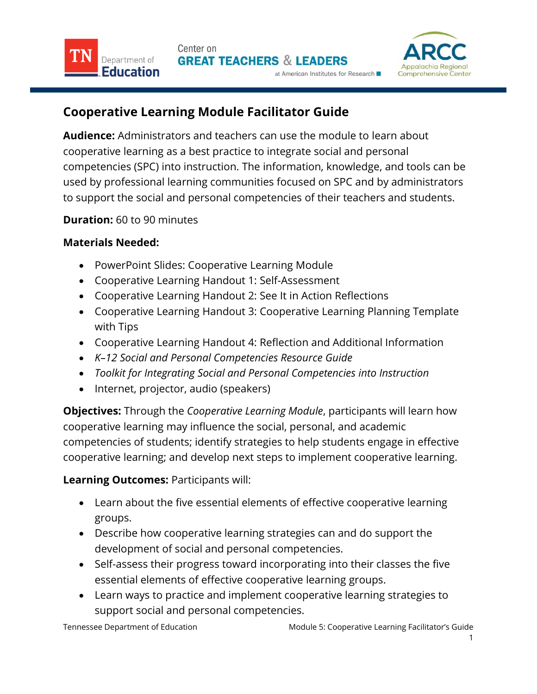



## **Cooperative Learning Module Facilitator Guide**

**Audience:** Administrators and teachers can use the module to learn about cooperative learning as a best practice to integrate social and personal competencies (SPC) into instruction. The information, knowledge, and tools can be used by professional learning communities focused on SPC and by administrators to support the social and personal competencies of their teachers and students.

## **Duration:** 60 to 90 minutes

## **Materials Needed:**

- PowerPoint Slides: Cooperative Learning Module
- Cooperative Learning Handout 1: Self-Assessment
- Cooperative Learning Handout 2: See It in Action Reflections
- Cooperative Learning Handout 3: Cooperative Learning Planning Template with Tips
- Cooperative Learning Handout 4: Reflection and Additional Information
- *K–12 Social and Personal Competencies Resource Guide*
- *Toolkit for Integrating Social and Personal Competencies into Instruction*
- Internet, projector, audio (speakers)

**Objectives:** Through the *Cooperative Learning Module*, participants will learn how cooperative learning may influence the social, personal, and academic competencies of students; identify strategies to help students engage in effective cooperative learning; and develop next steps to implement cooperative learning.

## **Learning Outcomes:** Participants will:

- Learn about the five essential elements of effective cooperative learning groups.
- Describe how cooperative learning strategies can and do support the development of social and personal competencies.
- Self-assess their progress toward incorporating into their classes the five essential elements of effective cooperative learning groups.
- Learn ways to practice and implement cooperative learning strategies to support social and personal competencies.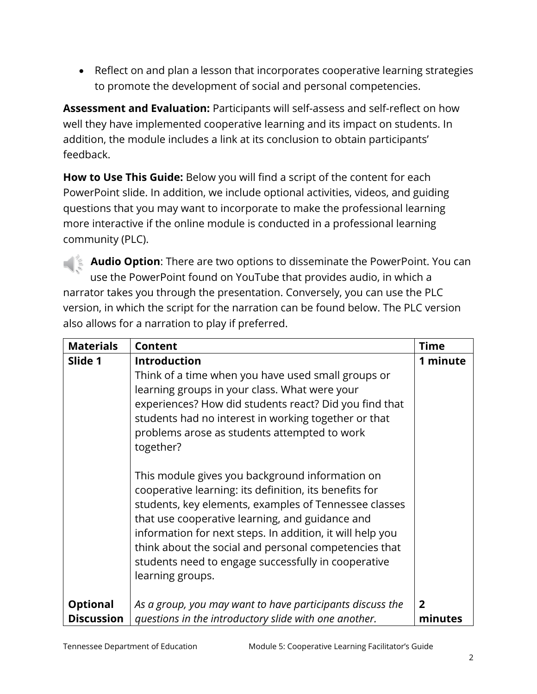Reflect on and plan a lesson that incorporates cooperative learning strategies to promote the development of social and personal competencies.

**Assessment and Evaluation:** Participants will self-assess and self-reflect on how well they have implemented cooperative learning and its impact on students. In addition, the module includes a link at its conclusion to obtain participants' feedback.

**How to Use This Guide:** Below you will find a script of the content for each PowerPoint slide. In addition, we include optional activities, videos, and guiding questions that you may want to incorporate to make the professional learning more interactive if the online module is conducted in a professional learning community (PLC).

**Audio Option**: There are two options to disseminate the PowerPoint. You can use the PowerPoint found on YouTube that provides audio, in which a narrator takes you through the presentation. Conversely, you can use the PLC version, in which the script for the narration can be found below. The PLC version also allows for a narration to play if preferred.

| <b>Materials</b>  | Content                                                                                                                                                                                                                                                                                                                                                                                                                | <b>Time</b>    |
|-------------------|------------------------------------------------------------------------------------------------------------------------------------------------------------------------------------------------------------------------------------------------------------------------------------------------------------------------------------------------------------------------------------------------------------------------|----------------|
| Slide 1           | <b>Introduction</b>                                                                                                                                                                                                                                                                                                                                                                                                    | 1 minute       |
|                   | Think of a time when you have used small groups or                                                                                                                                                                                                                                                                                                                                                                     |                |
|                   | learning groups in your class. What were your<br>experiences? How did students react? Did you find that<br>students had no interest in working together or that<br>problems arose as students attempted to work<br>together?                                                                                                                                                                                           |                |
|                   | This module gives you background information on<br>cooperative learning: its definition, its benefits for<br>students, key elements, examples of Tennessee classes<br>that use cooperative learning, and guidance and<br>information for next steps. In addition, it will help you<br>think about the social and personal competencies that<br>students need to engage successfully in cooperative<br>learning groups. |                |
| <b>Optional</b>   | As a group, you may want to have participants discuss the                                                                                                                                                                                                                                                                                                                                                              | $\overline{2}$ |
| <b>Discussion</b> | questions in the introductory slide with one another.                                                                                                                                                                                                                                                                                                                                                                  | minutes        |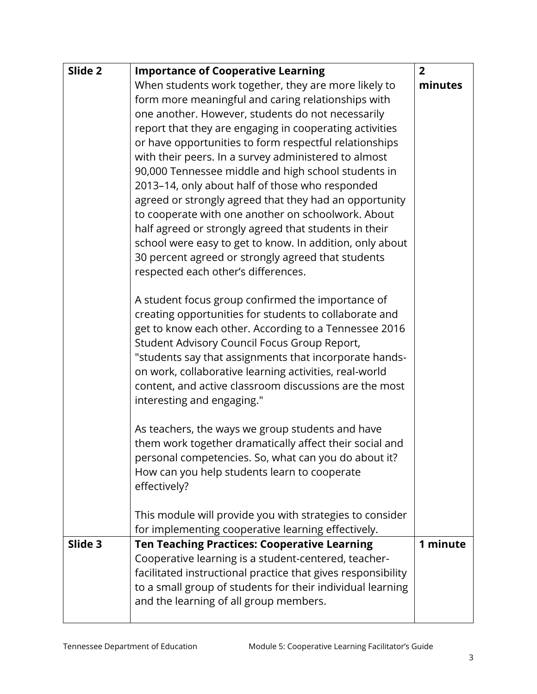| Slide 2 | <b>Importance of Cooperative Learning</b>                                                                         | $\overline{2}$ |
|---------|-------------------------------------------------------------------------------------------------------------------|----------------|
|         | When students work together, they are more likely to                                                              | minutes        |
|         | form more meaningful and caring relationships with                                                                |                |
|         | one another. However, students do not necessarily                                                                 |                |
|         | report that they are engaging in cooperating activities                                                           |                |
|         | or have opportunities to form respectful relationships                                                            |                |
|         | with their peers. In a survey administered to almost                                                              |                |
|         | 90,000 Tennessee middle and high school students in                                                               |                |
|         | 2013-14, only about half of those who responded                                                                   |                |
|         | agreed or strongly agreed that they had an opportunity                                                            |                |
|         | to cooperate with one another on schoolwork. About                                                                |                |
|         | half agreed or strongly agreed that students in their<br>school were easy to get to know. In addition, only about |                |
|         | 30 percent agreed or strongly agreed that students                                                                |                |
|         | respected each other's differences.                                                                               |                |
|         |                                                                                                                   |                |
|         | A student focus group confirmed the importance of                                                                 |                |
|         | creating opportunities for students to collaborate and                                                            |                |
|         | get to know each other. According to a Tennessee 2016                                                             |                |
|         | Student Advisory Council Focus Group Report,                                                                      |                |
|         | "students say that assignments that incorporate hands-                                                            |                |
|         | on work, collaborative learning activities, real-world                                                            |                |
|         | content, and active classroom discussions are the most                                                            |                |
|         | interesting and engaging."                                                                                        |                |
|         | As teachers, the ways we group students and have                                                                  |                |
|         | them work together dramatically affect their social and                                                           |                |
|         | personal competencies. So, what can you do about it?                                                              |                |
|         | How can you help students learn to cooperate                                                                      |                |
|         | effectively?                                                                                                      |                |
|         | This module will provide you with strategies to consider                                                          |                |
|         | for implementing cooperative learning effectively.                                                                |                |
| Slide 3 | <b>Ten Teaching Practices: Cooperative Learning</b>                                                               | 1 minute       |
|         | Cooperative learning is a student-centered, teacher-                                                              |                |
|         | facilitated instructional practice that gives responsibility                                                      |                |
|         | to a small group of students for their individual learning                                                        |                |
|         | and the learning of all group members.                                                                            |                |
|         |                                                                                                                   |                |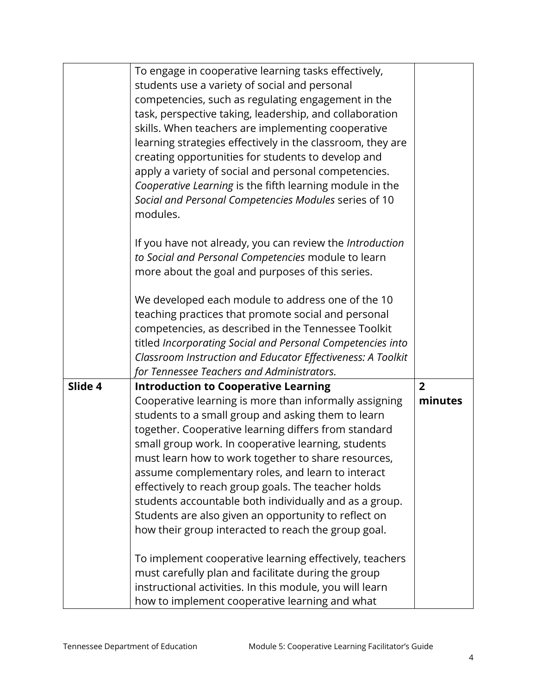|         | To engage in cooperative learning tasks effectively,                                                          |                |
|---------|---------------------------------------------------------------------------------------------------------------|----------------|
|         | students use a variety of social and personal                                                                 |                |
|         | competencies, such as regulating engagement in the                                                            |                |
|         | task, perspective taking, leadership, and collaboration<br>skills. When teachers are implementing cooperative |                |
|         | learning strategies effectively in the classroom, they are                                                    |                |
|         | creating opportunities for students to develop and                                                            |                |
|         | apply a variety of social and personal competencies.                                                          |                |
|         | Cooperative Learning is the fifth learning module in the                                                      |                |
|         | Social and Personal Competencies Modules series of 10                                                         |                |
|         | modules.                                                                                                      |                |
|         |                                                                                                               |                |
|         | If you have not already, you can review the Introduction                                                      |                |
|         | to Social and Personal Competencies module to learn                                                           |                |
|         | more about the goal and purposes of this series.                                                              |                |
|         |                                                                                                               |                |
|         | We developed each module to address one of the 10                                                             |                |
|         | teaching practices that promote social and personal                                                           |                |
|         | competencies, as described in the Tennessee Toolkit                                                           |                |
|         | titled Incorporating Social and Personal Competencies into                                                    |                |
|         | Classroom Instruction and Educator Effectiveness: A Toolkit                                                   |                |
|         | for Tennessee Teachers and Administrators.                                                                    |                |
| Slide 4 | <b>Introduction to Cooperative Learning</b>                                                                   | $\overline{2}$ |
|         | Cooperative learning is more than informally assigning                                                        | minutes        |
|         | students to a small group and asking them to learn                                                            |                |
|         | together. Cooperative learning differs from standard                                                          |                |
|         | small group work. In cooperative learning, students                                                           |                |
|         | must learn how to work together to share resources,                                                           |                |
|         | assume complementary roles, and learn to interact<br>effectively to reach group goals. The teacher holds      |                |
|         | students accountable both individually and as a group.                                                        |                |
|         | Students are also given an opportunity to reflect on                                                          |                |
|         | how their group interacted to reach the group goal.                                                           |                |
|         |                                                                                                               |                |
|         | To implement cooperative learning effectively, teachers                                                       |                |
|         | must carefully plan and facilitate during the group                                                           |                |
|         | instructional activities. In this module, you will learn                                                      |                |
|         | how to implement cooperative learning and what                                                                |                |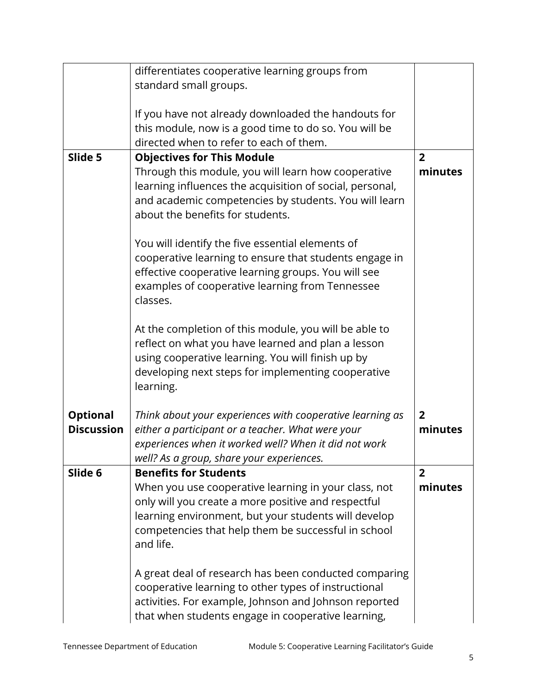|                                      | differentiates cooperative learning groups from           |                |
|--------------------------------------|-----------------------------------------------------------|----------------|
|                                      | standard small groups.                                    |                |
|                                      |                                                           |                |
|                                      | If you have not already downloaded the handouts for       |                |
|                                      | this module, now is a good time to do so. You will be     |                |
|                                      | directed when to refer to each of them.                   |                |
| Slide 5                              | <b>Objectives for This Module</b>                         | $\overline{2}$ |
|                                      | Through this module, you will learn how cooperative       | minutes        |
|                                      | learning influences the acquisition of social, personal,  |                |
|                                      | and academic competencies by students. You will learn     |                |
|                                      | about the benefits for students.                          |                |
|                                      |                                                           |                |
|                                      | You will identify the five essential elements of          |                |
|                                      | cooperative learning to ensure that students engage in    |                |
|                                      | effective cooperative learning groups. You will see       |                |
|                                      | examples of cooperative learning from Tennessee           |                |
|                                      | classes.                                                  |                |
|                                      |                                                           |                |
|                                      | At the completion of this module, you will be able to     |                |
|                                      | reflect on what you have learned and plan a lesson        |                |
|                                      | using cooperative learning. You will finish up by         |                |
|                                      |                                                           |                |
|                                      | developing next steps for implementing cooperative        |                |
|                                      | learning.                                                 |                |
|                                      |                                                           | $\overline{2}$ |
| <b>Optional</b><br><b>Discussion</b> | Think about your experiences with cooperative learning as |                |
|                                      | either a participant or a teacher. What were your         | minutes        |
|                                      | experiences when it worked well? When it did not work     |                |
|                                      | well? As a group, share your experiences.                 |                |
| Slide 6                              | <b>Benefits for Students</b>                              | $\overline{2}$ |
|                                      | When you use cooperative learning in your class, not      | minutes        |
|                                      | only will you create a more positive and respectful       |                |
|                                      | learning environment, but your students will develop      |                |
|                                      | competencies that help them be successful in school       |                |
|                                      | and life.                                                 |                |
|                                      |                                                           |                |
|                                      | A great deal of research has been conducted comparing     |                |
|                                      | cooperative learning to other types of instructional      |                |
|                                      | activities. For example, Johnson and Johnson reported     |                |
|                                      | that when students engage in cooperative learning,        |                |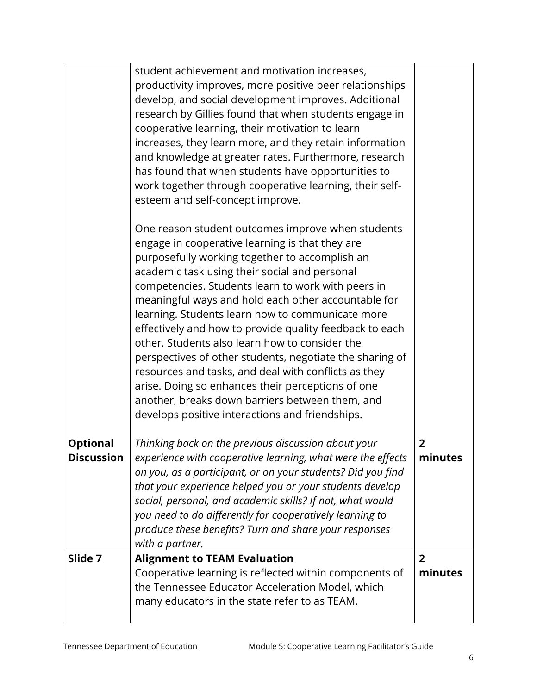|                                      | student achievement and motivation increases,<br>productivity improves, more positive peer relationships<br>develop, and social development improves. Additional<br>research by Gillies found that when students engage in<br>cooperative learning, their motivation to learn<br>increases, they learn more, and they retain information<br>and knowledge at greater rates. Furthermore, research<br>has found that when students have opportunities to<br>work together through cooperative learning, their self-<br>esteem and self-concept improve.                                                                                                                                                                                                               |                           |
|--------------------------------------|----------------------------------------------------------------------------------------------------------------------------------------------------------------------------------------------------------------------------------------------------------------------------------------------------------------------------------------------------------------------------------------------------------------------------------------------------------------------------------------------------------------------------------------------------------------------------------------------------------------------------------------------------------------------------------------------------------------------------------------------------------------------|---------------------------|
|                                      | One reason student outcomes improve when students<br>engage in cooperative learning is that they are<br>purposefully working together to accomplish an<br>academic task using their social and personal<br>competencies. Students learn to work with peers in<br>meaningful ways and hold each other accountable for<br>learning. Students learn how to communicate more<br>effectively and how to provide quality feedback to each<br>other. Students also learn how to consider the<br>perspectives of other students, negotiate the sharing of<br>resources and tasks, and deal with conflicts as they<br>arise. Doing so enhances their perceptions of one<br>another, breaks down barriers between them, and<br>develops positive interactions and friendships. |                           |
| <b>Optional</b><br><b>Discussion</b> | Thinking back on the previous discussion about your<br>experience with cooperative learning, what were the effects<br>on you, as a participant, or on your students? Did you find<br>that your experience helped you or your students develop<br>social, personal, and academic skills? If not, what would<br>you need to do differently for cooperatively learning to<br>produce these benefits? Turn and share your responses<br>with a partner.                                                                                                                                                                                                                                                                                                                   | $\overline{2}$<br>minutes |
| Slide 7                              | <b>Alignment to TEAM Evaluation</b><br>Cooperative learning is reflected within components of<br>the Tennessee Educator Acceleration Model, which<br>many educators in the state refer to as TEAM.                                                                                                                                                                                                                                                                                                                                                                                                                                                                                                                                                                   | $\overline{2}$<br>minutes |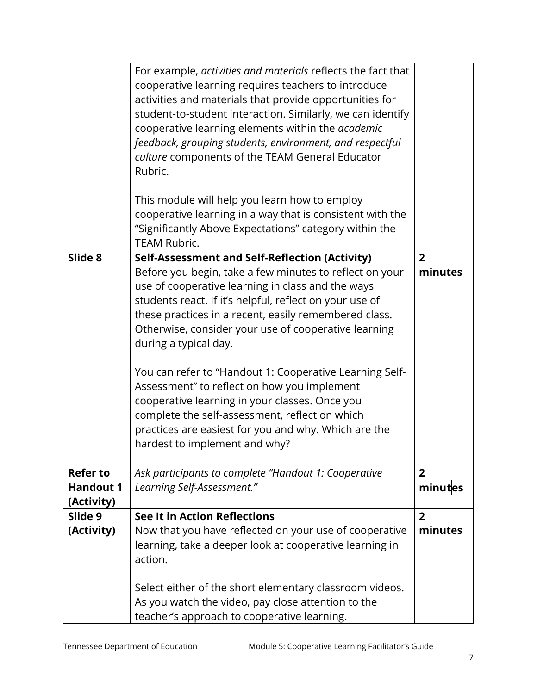|                                     | For example, activities and materials reflects the fact that<br>cooperative learning requires teachers to introduce<br>activities and materials that provide opportunities for<br>student-to-student interaction. Similarly, we can identify<br>cooperative learning elements within the academic<br>feedback, grouping students, environment, and respectful<br>culture components of the TEAM General Educator<br>Rubric.                                                                                                                                                                                                                                                |                           |
|-------------------------------------|----------------------------------------------------------------------------------------------------------------------------------------------------------------------------------------------------------------------------------------------------------------------------------------------------------------------------------------------------------------------------------------------------------------------------------------------------------------------------------------------------------------------------------------------------------------------------------------------------------------------------------------------------------------------------|---------------------------|
|                                     | This module will help you learn how to employ<br>cooperative learning in a way that is consistent with the<br>"Significantly Above Expectations" category within the<br><b>TEAM Rubric.</b>                                                                                                                                                                                                                                                                                                                                                                                                                                                                                |                           |
| Slide 8                             | Self-Assessment and Self-Reflection (Activity)<br>Before you begin, take a few minutes to reflect on your<br>use of cooperative learning in class and the ways<br>students react. If it's helpful, reflect on your use of<br>these practices in a recent, easily remembered class.<br>Otherwise, consider your use of cooperative learning<br>during a typical day.<br>You can refer to "Handout 1: Cooperative Learning Self-<br>Assessment" to reflect on how you implement<br>cooperative learning in your classes. Once you<br>complete the self-assessment, reflect on which<br>practices are easiest for you and why. Which are the<br>hardest to implement and why? | $\overline{2}$<br>minutes |
| <b>Refer to</b><br><b>Handout 1</b> | Ask participants to complete "Handout 1: Cooperative<br>Learning Self-Assessment."                                                                                                                                                                                                                                                                                                                                                                                                                                                                                                                                                                                         | $\overline{2}$<br>minutes |
| (Activity)<br>Slide 9<br>(Activity) | See It in Action Reflections<br>Now that you have reflected on your use of cooperative                                                                                                                                                                                                                                                                                                                                                                                                                                                                                                                                                                                     | $\overline{2}$<br>minutes |
|                                     | learning, take a deeper look at cooperative learning in<br>action.                                                                                                                                                                                                                                                                                                                                                                                                                                                                                                                                                                                                         |                           |
|                                     | Select either of the short elementary classroom videos.<br>As you watch the video, pay close attention to the<br>teacher's approach to cooperative learning.                                                                                                                                                                                                                                                                                                                                                                                                                                                                                                               |                           |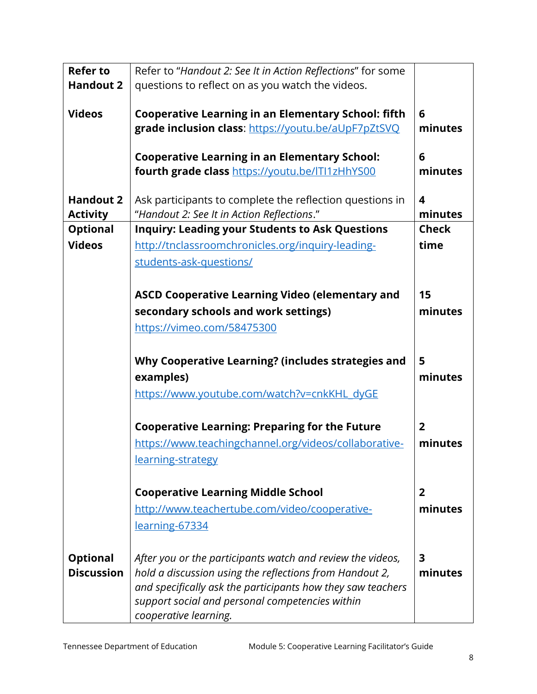| <b>Refer to</b>                      | Refer to "Handout 2: See It in Action Reflections" for some                                                                             |                |
|--------------------------------------|-----------------------------------------------------------------------------------------------------------------------------------------|----------------|
| <b>Handout 2</b>                     | questions to reflect on as you watch the videos.                                                                                        |                |
|                                      |                                                                                                                                         |                |
| <b>Videos</b>                        | <b>Cooperative Learning in an Elementary School: fifth</b>                                                                              | 6              |
|                                      | grade inclusion class: https://youtu.be/aUpF7pZtSVQ                                                                                     | minutes        |
|                                      |                                                                                                                                         |                |
|                                      | <b>Cooperative Learning in an Elementary School:</b>                                                                                    | 6              |
|                                      | fourth grade class https://youtu.be/ITI1zHhYS00                                                                                         | minutes        |
| <b>Handout 2</b>                     | Ask participants to complete the reflection questions in                                                                                | 4              |
| <b>Activity</b>                      | "Handout 2: See It in Action Reflections."                                                                                              | minutes        |
| <b>Optional</b>                      | <b>Inquiry: Leading your Students to Ask Questions</b>                                                                                  | <b>Check</b>   |
| <b>Videos</b>                        | http://tnclassroomchronicles.org/inquiry-leading-                                                                                       | time           |
|                                      |                                                                                                                                         |                |
|                                      | students-ask-questions/                                                                                                                 |                |
|                                      |                                                                                                                                         |                |
|                                      | <b>ASCD Cooperative Learning Video (elementary and</b>                                                                                  | 15             |
|                                      | secondary schools and work settings)                                                                                                    | minutes        |
|                                      | https://vimeo.com/58475300                                                                                                              |                |
|                                      |                                                                                                                                         |                |
|                                      | Why Cooperative Learning? (includes strategies and                                                                                      | 5              |
|                                      | examples)                                                                                                                               | minutes        |
|                                      | https://www.youtube.com/watch?v=cnkKHL dyGE                                                                                             |                |
|                                      |                                                                                                                                         |                |
|                                      | <b>Cooperative Learning: Preparing for the Future</b>                                                                                   | 2              |
|                                      | https://www.teachingchannel.org/videos/collaborative-                                                                                   | minutes        |
|                                      | learning-strategy                                                                                                                       |                |
|                                      |                                                                                                                                         |                |
|                                      | <b>Cooperative Learning Middle School</b>                                                                                               | $\overline{2}$ |
|                                      | http://www.teachertube.com/video/cooperative-                                                                                           | minutes        |
|                                      | learning-67334                                                                                                                          |                |
|                                      |                                                                                                                                         |                |
|                                      |                                                                                                                                         |                |
| <b>Optional</b><br><b>Discussion</b> | After you or the participants watch and review the videos,                                                                              | 3<br>minutes   |
|                                      | hold a discussion using the reflections from Handout 2,                                                                                 |                |
|                                      |                                                                                                                                         |                |
|                                      |                                                                                                                                         |                |
|                                      | and specifically ask the participants how they saw teachers<br>support social and personal competencies within<br>cooperative learning. |                |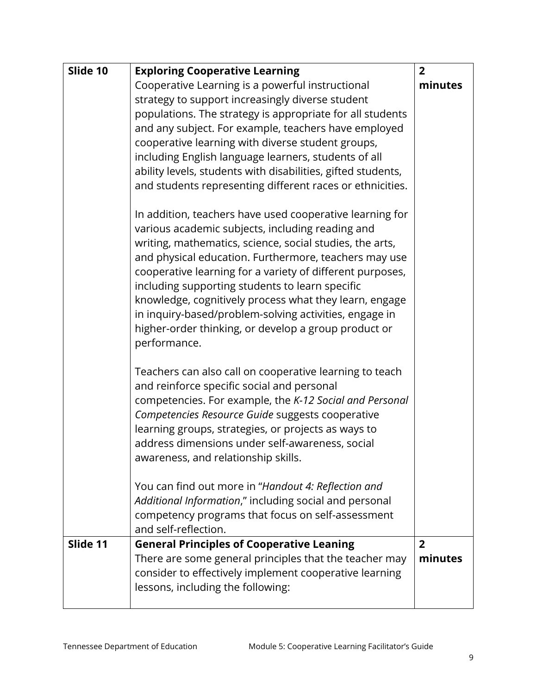| Cooperative Learning is a powerful instructional<br>minutes<br>strategy to support increasingly diverse student<br>populations. The strategy is appropriate for all students | Slide 10 | <b>Exploring Cooperative Learning</b>                | $\overline{2}$ |
|------------------------------------------------------------------------------------------------------------------------------------------------------------------------------|----------|------------------------------------------------------|----------------|
|                                                                                                                                                                              |          |                                                      |                |
|                                                                                                                                                                              |          |                                                      |                |
|                                                                                                                                                                              |          |                                                      |                |
|                                                                                                                                                                              |          | and any subject. For example, teachers have employed |                |
| cooperative learning with diverse student groups,                                                                                                                            |          |                                                      |                |
| including English language learners, students of all                                                                                                                         |          |                                                      |                |
| ability levels, students with disabilities, gifted students,                                                                                                                 |          |                                                      |                |
| and students representing different races or ethnicities.                                                                                                                    |          |                                                      |                |
| In addition, teachers have used cooperative learning for                                                                                                                     |          |                                                      |                |
| various academic subjects, including reading and                                                                                                                             |          |                                                      |                |
| writing, mathematics, science, social studies, the arts,                                                                                                                     |          |                                                      |                |
| and physical education. Furthermore, teachers may use                                                                                                                        |          |                                                      |                |
| cooperative learning for a variety of different purposes,                                                                                                                    |          |                                                      |                |
| including supporting students to learn specific                                                                                                                              |          |                                                      |                |
| knowledge, cognitively process what they learn, engage                                                                                                                       |          |                                                      |                |
| in inquiry-based/problem-solving activities, engage in                                                                                                                       |          |                                                      |                |
| higher-order thinking, or develop a group product or<br>performance.                                                                                                         |          |                                                      |                |
|                                                                                                                                                                              |          |                                                      |                |
| Teachers can also call on cooperative learning to teach                                                                                                                      |          |                                                      |                |
| and reinforce specific social and personal<br>competencies. For example, the K-12 Social and Personal                                                                        |          |                                                      |                |
| Competencies Resource Guide suggests cooperative                                                                                                                             |          |                                                      |                |
| learning groups, strategies, or projects as ways to                                                                                                                          |          |                                                      |                |
| address dimensions under self-awareness, social                                                                                                                              |          |                                                      |                |
| awareness, and relationship skills.                                                                                                                                          |          |                                                      |                |
|                                                                                                                                                                              |          |                                                      |                |
| You can find out more in "Handout 4: Reflection and                                                                                                                          |          |                                                      |                |
| Additional Information," including social and personal                                                                                                                       |          |                                                      |                |
| competency programs that focus on self-assessment                                                                                                                            |          |                                                      |                |
| and self-reflection.                                                                                                                                                         |          |                                                      |                |
| Slide 11<br><b>General Principles of Cooperative Leaning</b><br>$\overline{2}$                                                                                               |          |                                                      |                |
| There are some general principles that the teacher may<br>minutes                                                                                                            |          |                                                      |                |
| consider to effectively implement cooperative learning                                                                                                                       |          |                                                      |                |
| lessons, including the following:                                                                                                                                            |          |                                                      |                |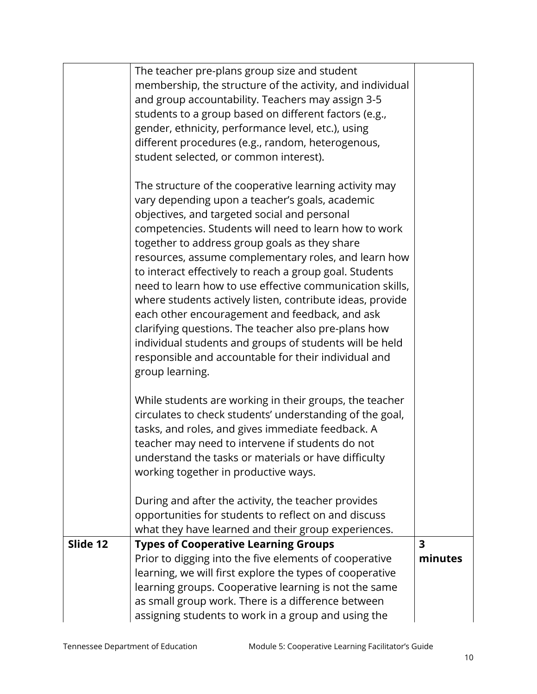| The teacher pre-plans group size and student<br>membership, the structure of the activity, and individual           |                         |
|---------------------------------------------------------------------------------------------------------------------|-------------------------|
| and group accountability. Teachers may assign 3-5                                                                   |                         |
| students to a group based on different factors (e.g.,                                                               |                         |
| gender, ethnicity, performance level, etc.), using                                                                  |                         |
| different procedures (e.g., random, heterogenous,                                                                   |                         |
| student selected, or common interest).                                                                              |                         |
| The structure of the cooperative learning activity may                                                              |                         |
| vary depending upon a teacher's goals, academic                                                                     |                         |
| objectives, and targeted social and personal                                                                        |                         |
| competencies. Students will need to learn how to work                                                               |                         |
| together to address group goals as they share                                                                       |                         |
| resources, assume complementary roles, and learn how                                                                |                         |
| to interact effectively to reach a group goal. Students<br>need to learn how to use effective communication skills, |                         |
| where students actively listen, contribute ideas, provide                                                           |                         |
| each other encouragement and feedback, and ask                                                                      |                         |
| clarifying questions. The teacher also pre-plans how                                                                |                         |
| individual students and groups of students will be held                                                             |                         |
| responsible and accountable for their individual and                                                                |                         |
| group learning.                                                                                                     |                         |
| While students are working in their groups, the teacher                                                             |                         |
| circulates to check students' understanding of the goal,                                                            |                         |
| tasks, and roles, and gives immediate feedback. A                                                                   |                         |
| teacher may need to intervene if students do not                                                                    |                         |
| understand the tasks or materials or have difficulty                                                                |                         |
| working together in productive ways.                                                                                |                         |
| During and after the activity, the teacher provides                                                                 |                         |
| opportunities for students to reflect on and discuss                                                                |                         |
| what they have learned and their group experiences.                                                                 |                         |
| Slide 12<br><b>Types of Cooperative Learning Groups</b>                                                             | $\overline{\mathbf{3}}$ |
| Prior to digging into the five elements of cooperative                                                              | minutes                 |
| learning, we will first explore the types of cooperative                                                            |                         |
| learning groups. Cooperative learning is not the same<br>as small group work. There is a difference between         |                         |
| assigning students to work in a group and using the                                                                 |                         |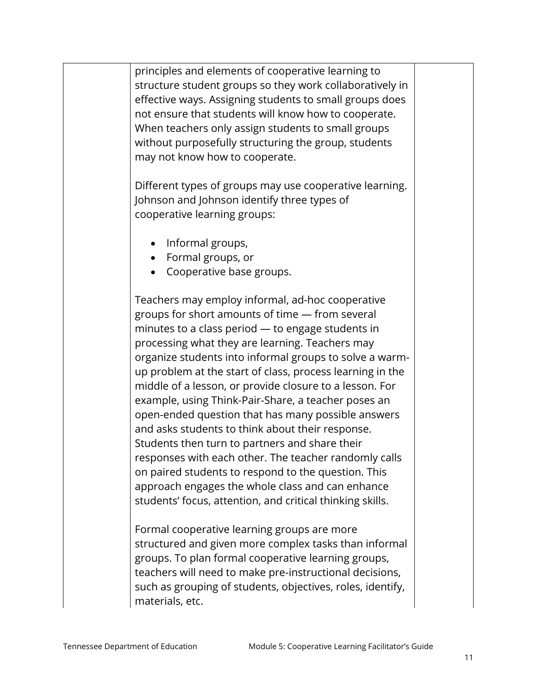principles and elements of cooperative learning to structure student groups so they work collaboratively in effective ways. Assigning students to small groups does not ensure that students will know how to cooperate. When teachers only assign students to small groups without purposefully structuring the group, students may not know how to cooperate.

Different types of groups may use cooperative learning. Johnson and Johnson identify three types of cooperative learning groups:

- Informal groups,
- Formal groups, or
- Cooperative base groups.

Teachers may employ informal, ad-hoc cooperative groups for short amounts of time — from several minutes to a class period — to engage students in processing what they are learning. Teachers may organize students into informal groups to solve a warmup problem at the start of class, process learning in the middle of a lesson, or provide closure to a lesson. For example, using Think-Pair-Share, a teacher poses an open-ended question that has many possible answers and asks students to think about their response. Students then turn to partners and share their responses with each other. The teacher randomly calls on paired students to respond to the question. This approach engages the whole class and can enhance students' focus, attention, and critical thinking skills.

Formal cooperative learning groups are more structured and given more complex tasks than informal groups. To plan formal cooperative learning groups, teachers will need to make pre-instructional decisions, such as grouping of students, objectives, roles, identify, materials, etc.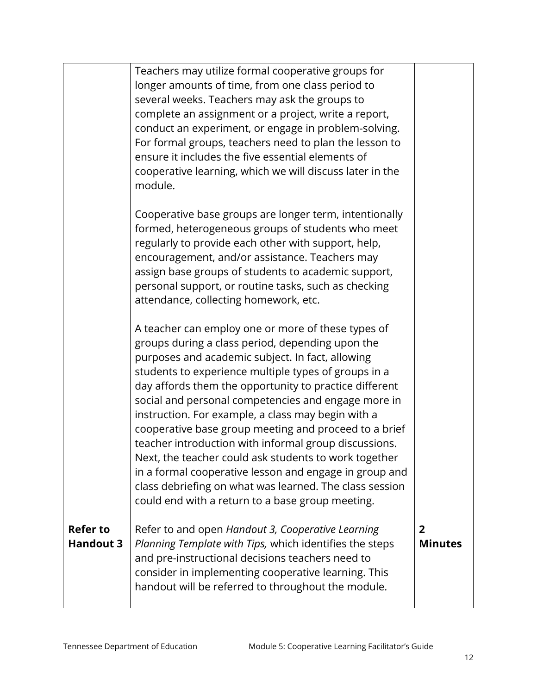|                                     | several weeks. Teachers may ask the groups to<br>complete an assignment or a project, write a report,<br>conduct an experiment, or engage in problem-solving.<br>For formal groups, teachers need to plan the lesson to<br>ensure it includes the five essential elements of<br>cooperative learning, which we will discuss later in the<br>module.<br>Cooperative base groups are longer term, intentionally<br>formed, heterogeneous groups of students who meet<br>regularly to provide each other with support, help,<br>encouragement, and/or assistance. Teachers may<br>assign base groups of students to academic support,<br>personal support, or routine tasks, such as checking<br>attendance, collecting homework, etc.<br>A teacher can employ one or more of these types of<br>groups during a class period, depending upon the<br>purposes and academic subject. In fact, allowing<br>students to experience multiple types of groups in a<br>day affords them the opportunity to practice different<br>social and personal competencies and engage more in<br>instruction. For example, a class may begin with a<br>cooperative base group meeting and proceed to a brief |                                  |
|-------------------------------------|-------------------------------------------------------------------------------------------------------------------------------------------------------------------------------------------------------------------------------------------------------------------------------------------------------------------------------------------------------------------------------------------------------------------------------------------------------------------------------------------------------------------------------------------------------------------------------------------------------------------------------------------------------------------------------------------------------------------------------------------------------------------------------------------------------------------------------------------------------------------------------------------------------------------------------------------------------------------------------------------------------------------------------------------------------------------------------------------------------------------------------------------------------------------------------------------|----------------------------------|
|                                     | teacher introduction with informal group discussions.<br>Next, the teacher could ask students to work together<br>in a formal cooperative lesson and engage in group and<br>class debriefing on what was learned. The class session<br>could end with a return to a base group meeting.                                                                                                                                                                                                                                                                                                                                                                                                                                                                                                                                                                                                                                                                                                                                                                                                                                                                                                   |                                  |
| <b>Refer to</b><br><b>Handout 3</b> | Refer to and open Handout 3, Cooperative Learning<br>Planning Template with Tips, which identifies the steps<br>and pre-instructional decisions teachers need to<br>consider in implementing cooperative learning. This<br>handout will be referred to throughout the module.                                                                                                                                                                                                                                                                                                                                                                                                                                                                                                                                                                                                                                                                                                                                                                                                                                                                                                             | $\overline{2}$<br><b>Minutes</b> |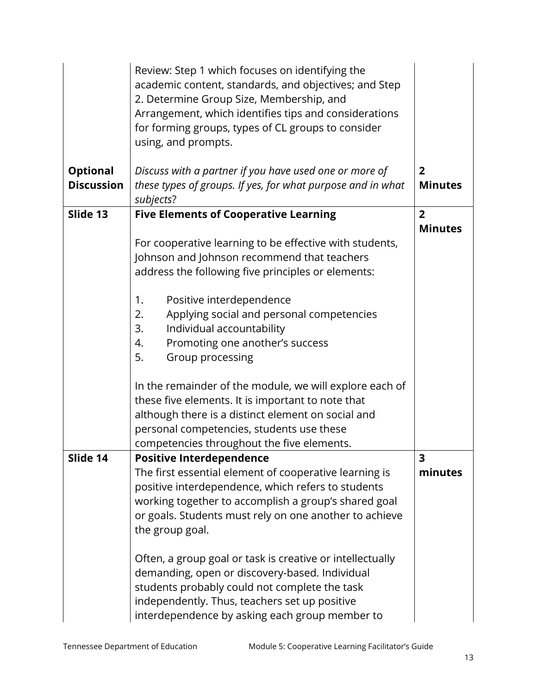|                   | Review: Step 1 which focuses on identifying the<br>academic content, standards, and objectives; and Step<br>2. Determine Group Size, Membership, and<br>Arrangement, which identifies tips and considerations<br>for forming groups, types of CL groups to consider<br>using, and prompts. |                |
|-------------------|--------------------------------------------------------------------------------------------------------------------------------------------------------------------------------------------------------------------------------------------------------------------------------------------|----------------|
| <b>Optional</b>   | Discuss with a partner if you have used one or more of                                                                                                                                                                                                                                     | $\overline{2}$ |
| <b>Discussion</b> | these types of groups. If yes, for what purpose and in what<br>subjects?                                                                                                                                                                                                                   | <b>Minutes</b> |
| Slide 13          | <b>Five Elements of Cooperative Learning</b>                                                                                                                                                                                                                                               | $\overline{2}$ |
|                   |                                                                                                                                                                                                                                                                                            | <b>Minutes</b> |
|                   | For cooperative learning to be effective with students,                                                                                                                                                                                                                                    |                |
|                   | Johnson and Johnson recommend that teachers<br>address the following five principles or elements:                                                                                                                                                                                          |                |
|                   |                                                                                                                                                                                                                                                                                            |                |
|                   | Positive interdependence<br>1.                                                                                                                                                                                                                                                             |                |
|                   | Applying social and personal competencies<br>2.                                                                                                                                                                                                                                            |                |
|                   | 3.<br>Individual accountability                                                                                                                                                                                                                                                            |                |
|                   | Promoting one another's success<br>4.<br>5.<br>Group processing                                                                                                                                                                                                                            |                |
|                   |                                                                                                                                                                                                                                                                                            |                |
|                   | In the remainder of the module, we will explore each of                                                                                                                                                                                                                                    |                |
|                   | these five elements. It is important to note that                                                                                                                                                                                                                                          |                |
|                   | although there is a distinct element on social and                                                                                                                                                                                                                                         |                |
|                   | personal competencies, students use these<br>competencies throughout the five elements.                                                                                                                                                                                                    |                |
| Slide 14          | <b>Positive Interdependence</b>                                                                                                                                                                                                                                                            | 3              |
|                   | The first essential element of cooperative learning is                                                                                                                                                                                                                                     | minutes        |
|                   | positive interdependence, which refers to students                                                                                                                                                                                                                                         |                |
|                   | working together to accomplish a group's shared goal                                                                                                                                                                                                                                       |                |
|                   | or goals. Students must rely on one another to achieve<br>the group goal.                                                                                                                                                                                                                  |                |
|                   |                                                                                                                                                                                                                                                                                            |                |
|                   | Often, a group goal or task is creative or intellectually<br>demanding, open or discovery-based. Individual<br>students probably could not complete the task<br>independently. Thus, teachers set up positive                                                                              |                |
|                   | interdependence by asking each group member to                                                                                                                                                                                                                                             |                |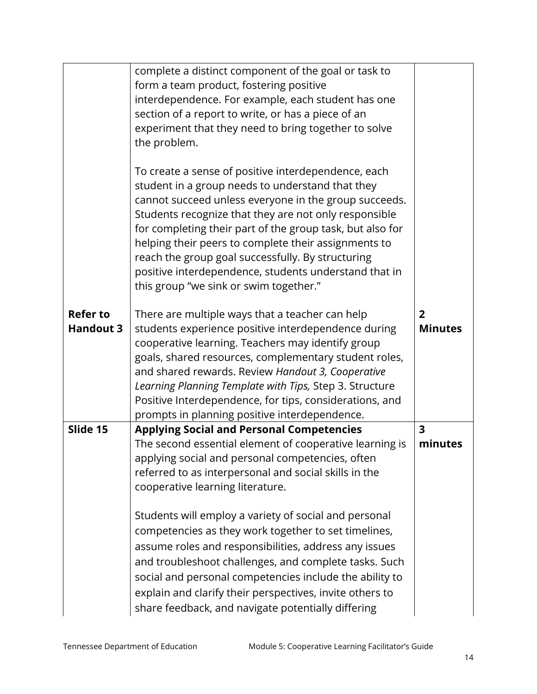|                  | complete a distinct component of the goal or task to<br>form a team product, fostering positive<br>interdependence. For example, each student has one<br>section of a report to write, or has a piece of an<br>experiment that they need to bring together to solve<br>the problem.<br>To create a sense of positive interdependence, each<br>student in a group needs to understand that they<br>cannot succeed unless everyone in the group succeeds.<br>Students recognize that they are not only responsible<br>for completing their part of the group task, but also for<br>helping their peers to complete their assignments to<br>reach the group goal successfully. By structuring<br>positive interdependence, students understand that in<br>this group "we sink or swim together." |                                    |
|------------------|-----------------------------------------------------------------------------------------------------------------------------------------------------------------------------------------------------------------------------------------------------------------------------------------------------------------------------------------------------------------------------------------------------------------------------------------------------------------------------------------------------------------------------------------------------------------------------------------------------------------------------------------------------------------------------------------------------------------------------------------------------------------------------------------------|------------------------------------|
| <b>Refer to</b>  | There are multiple ways that a teacher can help                                                                                                                                                                                                                                                                                                                                                                                                                                                                                                                                                                                                                                                                                                                                               | $2^{1}$                            |
| <b>Handout 3</b> | students experience positive interdependence during<br>cooperative learning. Teachers may identify group<br>goals, shared resources, complementary student roles,<br>and shared rewards. Review Handout 3, Cooperative<br>Learning Planning Template with Tips, Step 3. Structure<br>Positive Interdependence, for tips, considerations, and<br>prompts in planning positive interdependence.                                                                                                                                                                                                                                                                                                                                                                                                 | <b>Minutes</b>                     |
| Slide 15         | <b>Applying Social and Personal Competencies</b><br>The second essential element of cooperative learning is                                                                                                                                                                                                                                                                                                                                                                                                                                                                                                                                                                                                                                                                                   | $\overline{\mathbf{3}}$<br>minutes |
|                  | applying social and personal competencies, often<br>referred to as interpersonal and social skills in the<br>cooperative learning literature.                                                                                                                                                                                                                                                                                                                                                                                                                                                                                                                                                                                                                                                 |                                    |
|                  | Students will employ a variety of social and personal<br>competencies as they work together to set timelines,<br>assume roles and responsibilities, address any issues<br>and troubleshoot challenges, and complete tasks. Such<br>social and personal competencies include the ability to<br>explain and clarify their perspectives, invite others to<br>share feedback, and navigate potentially differing                                                                                                                                                                                                                                                                                                                                                                                  |                                    |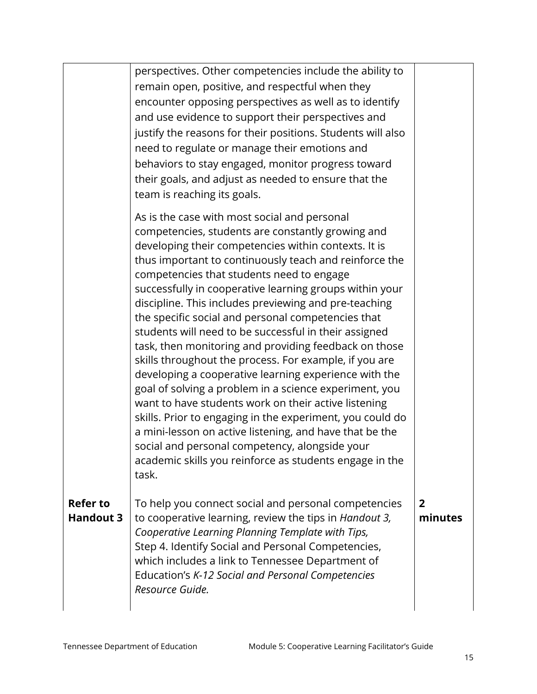|                  | perspectives. Other competencies include the ability to                                                           |         |
|------------------|-------------------------------------------------------------------------------------------------------------------|---------|
|                  | remain open, positive, and respectful when they                                                                   |         |
|                  | encounter opposing perspectives as well as to identify                                                            |         |
|                  | and use evidence to support their perspectives and                                                                |         |
|                  | justify the reasons for their positions. Students will also                                                       |         |
|                  | need to regulate or manage their emotions and                                                                     |         |
|                  | behaviors to stay engaged, monitor progress toward                                                                |         |
|                  | their goals, and adjust as needed to ensure that the                                                              |         |
|                  | team is reaching its goals.                                                                                       |         |
|                  | As is the case with most social and personal                                                                      |         |
|                  | competencies, students are constantly growing and                                                                 |         |
|                  | developing their competencies within contexts. It is                                                              |         |
|                  | thus important to continuously teach and reinforce the                                                            |         |
|                  | competencies that students need to engage                                                                         |         |
|                  | successfully in cooperative learning groups within your<br>discipline. This includes previewing and pre-teaching  |         |
|                  | the specific social and personal competencies that                                                                |         |
|                  | students will need to be successful in their assigned                                                             |         |
|                  | task, then monitoring and providing feedback on those                                                             |         |
|                  | skills throughout the process. For example, if you are                                                            |         |
|                  | developing a cooperative learning experience with the                                                             |         |
|                  | goal of solving a problem in a science experiment, you                                                            |         |
|                  | want to have students work on their active listening<br>skills. Prior to engaging in the experiment, you could do |         |
|                  | a mini-lesson on active listening, and have that be the                                                           |         |
|                  | social and personal competency, alongside your                                                                    |         |
|                  | academic skills you reinforce as students engage in the                                                           |         |
|                  | task.                                                                                                             |         |
| <b>Refer to</b>  | To help you connect social and personal competencies                                                              | 2       |
| <b>Handout 3</b> | to cooperative learning, review the tips in Handout 3,                                                            | minutes |
|                  | Cooperative Learning Planning Template with Tips,                                                                 |         |
|                  | Step 4. Identify Social and Personal Competencies,                                                                |         |
|                  | which includes a link to Tennessee Department of                                                                  |         |
|                  | Education's K-12 Social and Personal Competencies                                                                 |         |
|                  | Resource Guide.                                                                                                   |         |
|                  |                                                                                                                   |         |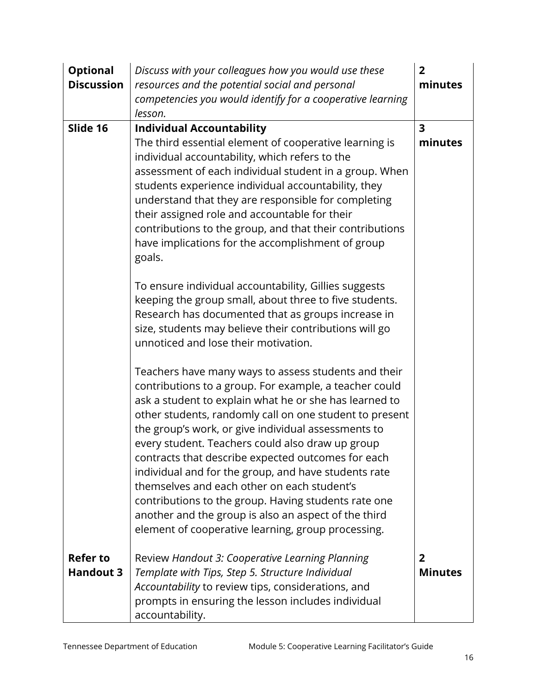| <b>Optional</b>   | Discuss with your colleagues how you would use these                                                       | $\overline{2}$          |
|-------------------|------------------------------------------------------------------------------------------------------------|-------------------------|
| <b>Discussion</b> | resources and the potential social and personal                                                            | minutes                 |
|                   | competencies you would identify for a cooperative learning                                                 |                         |
|                   | lesson.                                                                                                    |                         |
| Slide 16          | <b>Individual Accountability</b>                                                                           | $\overline{\mathbf{3}}$ |
|                   | The third essential element of cooperative learning is                                                     | minutes                 |
|                   | individual accountability, which refers to the                                                             |                         |
|                   | assessment of each individual student in a group. When                                                     |                         |
|                   | students experience individual accountability, they                                                        |                         |
|                   | understand that they are responsible for completing<br>their assigned role and accountable for their       |                         |
|                   | contributions to the group, and that their contributions                                                   |                         |
|                   | have implications for the accomplishment of group                                                          |                         |
|                   | goals.                                                                                                     |                         |
|                   |                                                                                                            |                         |
|                   | To ensure individual accountability, Gillies suggests                                                      |                         |
|                   | keeping the group small, about three to five students.                                                     |                         |
|                   | Research has documented that as groups increase in                                                         |                         |
|                   | size, students may believe their contributions will go                                                     |                         |
|                   | unnoticed and lose their motivation.                                                                       |                         |
|                   | Teachers have many ways to assess students and their                                                       |                         |
|                   | contributions to a group. For example, a teacher could                                                     |                         |
|                   | ask a student to explain what he or she has learned to                                                     |                         |
|                   | other students, randomly call on one student to present                                                    |                         |
|                   | the group's work, or give individual assessments to                                                        |                         |
|                   | every student. Teachers could also draw up group                                                           |                         |
|                   | contracts that describe expected outcomes for each                                                         |                         |
|                   | individual and for the group, and have students rate                                                       |                         |
|                   | themselves and each other on each student's                                                                |                         |
|                   | contributions to the group. Having students rate one                                                       |                         |
|                   | another and the group is also an aspect of the third<br>element of cooperative learning, group processing. |                         |
|                   |                                                                                                            |                         |
| <b>Refer to</b>   | Review Handout 3: Cooperative Learning Planning                                                            | $\overline{2}$          |
| <b>Handout 3</b>  | Template with Tips, Step 5. Structure Individual                                                           | <b>Minutes</b>          |
|                   | Accountability to review tips, considerations, and                                                         |                         |
|                   | prompts in ensuring the lesson includes individual                                                         |                         |
|                   | accountability.                                                                                            |                         |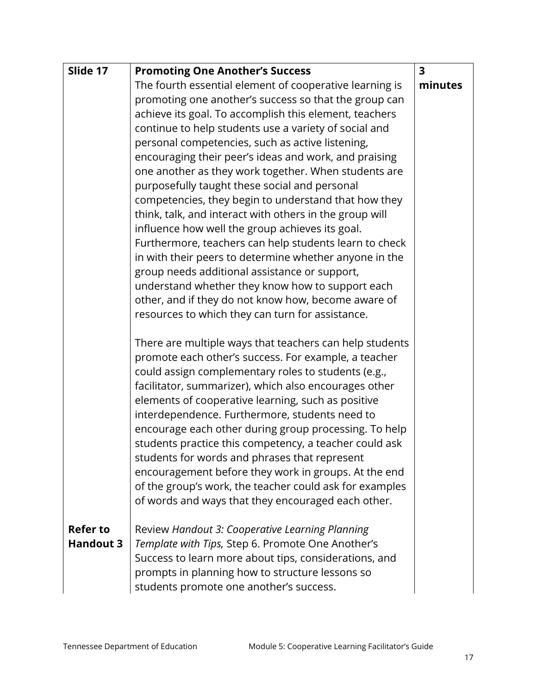| Slide 17                            | <b>Promoting One Another's Success</b>                                                                                                                                                                                                                                                                                                                                                                                                                                                                                                                                                                                                                                               | $\overline{\mathbf{3}}$ |
|-------------------------------------|--------------------------------------------------------------------------------------------------------------------------------------------------------------------------------------------------------------------------------------------------------------------------------------------------------------------------------------------------------------------------------------------------------------------------------------------------------------------------------------------------------------------------------------------------------------------------------------------------------------------------------------------------------------------------------------|-------------------------|
|                                     | The fourth essential element of cooperative learning is                                                                                                                                                                                                                                                                                                                                                                                                                                                                                                                                                                                                                              | minutes                 |
|                                     | promoting one another's success so that the group can                                                                                                                                                                                                                                                                                                                                                                                                                                                                                                                                                                                                                                |                         |
|                                     | achieve its goal. To accomplish this element, teachers                                                                                                                                                                                                                                                                                                                                                                                                                                                                                                                                                                                                                               |                         |
|                                     | continue to help students use a variety of social and                                                                                                                                                                                                                                                                                                                                                                                                                                                                                                                                                                                                                                |                         |
|                                     | personal competencies, such as active listening,                                                                                                                                                                                                                                                                                                                                                                                                                                                                                                                                                                                                                                     |                         |
|                                     | encouraging their peer's ideas and work, and praising                                                                                                                                                                                                                                                                                                                                                                                                                                                                                                                                                                                                                                |                         |
|                                     | one another as they work together. When students are                                                                                                                                                                                                                                                                                                                                                                                                                                                                                                                                                                                                                                 |                         |
|                                     | purposefully taught these social and personal                                                                                                                                                                                                                                                                                                                                                                                                                                                                                                                                                                                                                                        |                         |
|                                     | competencies, they begin to understand that how they                                                                                                                                                                                                                                                                                                                                                                                                                                                                                                                                                                                                                                 |                         |
|                                     | think, talk, and interact with others in the group will                                                                                                                                                                                                                                                                                                                                                                                                                                                                                                                                                                                                                              |                         |
|                                     | influence how well the group achieves its goal.                                                                                                                                                                                                                                                                                                                                                                                                                                                                                                                                                                                                                                      |                         |
|                                     | Furthermore, teachers can help students learn to check                                                                                                                                                                                                                                                                                                                                                                                                                                                                                                                                                                                                                               |                         |
|                                     | in with their peers to determine whether anyone in the<br>group needs additional assistance or support,                                                                                                                                                                                                                                                                                                                                                                                                                                                                                                                                                                              |                         |
|                                     | understand whether they know how to support each                                                                                                                                                                                                                                                                                                                                                                                                                                                                                                                                                                                                                                     |                         |
|                                     | other, and if they do not know how, become aware of                                                                                                                                                                                                                                                                                                                                                                                                                                                                                                                                                                                                                                  |                         |
|                                     | resources to which they can turn for assistance.                                                                                                                                                                                                                                                                                                                                                                                                                                                                                                                                                                                                                                     |                         |
|                                     |                                                                                                                                                                                                                                                                                                                                                                                                                                                                                                                                                                                                                                                                                      |                         |
|                                     | There are multiple ways that teachers can help students<br>promote each other's success. For example, a teacher<br>could assign complementary roles to students (e.g.,<br>facilitator, summarizer), which also encourages other<br>elements of cooperative learning, such as positive<br>interdependence. Furthermore, students need to<br>encourage each other during group processing. To help<br>students practice this competency, a teacher could ask<br>students for words and phrases that represent<br>encouragement before they work in groups. At the end<br>of the group's work, the teacher could ask for examples<br>of words and ways that they encouraged each other. |                         |
| <b>Refer to</b><br><b>Handout 3</b> | Review Handout 3: Cooperative Learning Planning<br>Template with Tips, Step 6. Promote One Another's<br>Success to learn more about tips, considerations, and<br>prompts in planning how to structure lessons so<br>students promote one another's success.                                                                                                                                                                                                                                                                                                                                                                                                                          |                         |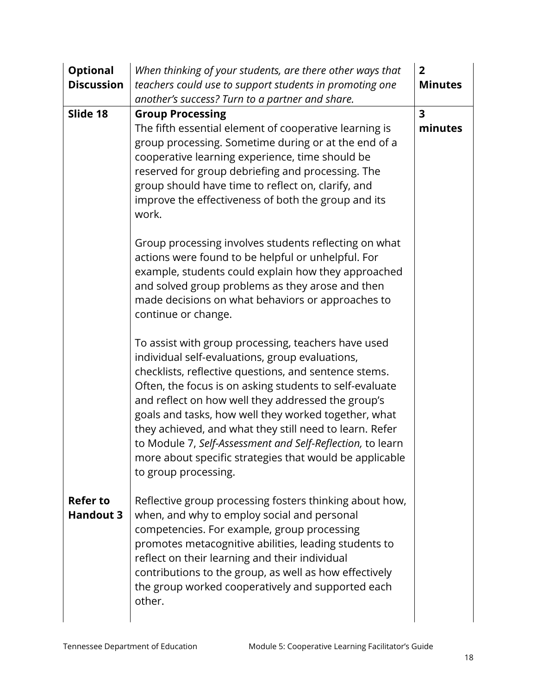| <b>Optional</b><br><b>Discussion</b> | When thinking of your students, are there other ways that<br>teachers could use to support students in promoting one                                                                                                                                                                                                                                                                                                                                                                                                                                 | $\overline{2}$<br><b>Minutes</b>   |
|--------------------------------------|------------------------------------------------------------------------------------------------------------------------------------------------------------------------------------------------------------------------------------------------------------------------------------------------------------------------------------------------------------------------------------------------------------------------------------------------------------------------------------------------------------------------------------------------------|------------------------------------|
|                                      | another's success? Turn to a partner and share.                                                                                                                                                                                                                                                                                                                                                                                                                                                                                                      |                                    |
| Slide 18                             | <b>Group Processing</b><br>The fifth essential element of cooperative learning is<br>group processing. Sometime during or at the end of a<br>cooperative learning experience, time should be<br>reserved for group debriefing and processing. The<br>group should have time to reflect on, clarify, and<br>improve the effectiveness of both the group and its<br>work.                                                                                                                                                                              | $\overline{\mathbf{3}}$<br>minutes |
|                                      | Group processing involves students reflecting on what<br>actions were found to be helpful or unhelpful. For<br>example, students could explain how they approached<br>and solved group problems as they arose and then<br>made decisions on what behaviors or approaches to<br>continue or change.                                                                                                                                                                                                                                                   |                                    |
|                                      | To assist with group processing, teachers have used<br>individual self-evaluations, group evaluations,<br>checklists, reflective questions, and sentence stems.<br>Often, the focus is on asking students to self-evaluate<br>and reflect on how well they addressed the group's<br>goals and tasks, how well they worked together, what<br>they achieved, and what they still need to learn. Refer<br>to Module 7, Self-Assessment and Self-Reflection, to learn<br>more about specific strategies that would be applicable<br>to group processing. |                                    |
| <b>Refer to</b><br><b>Handout 3</b>  | Reflective group processing fosters thinking about how,<br>when, and why to employ social and personal<br>competencies. For example, group processing<br>promotes metacognitive abilities, leading students to<br>reflect on their learning and their individual<br>contributions to the group, as well as how effectively<br>the group worked cooperatively and supported each<br>other.                                                                                                                                                            |                                    |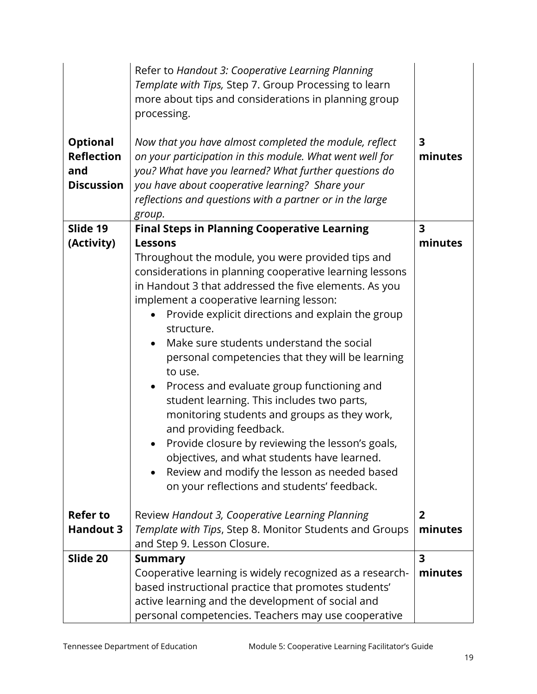| <b>Optional</b><br><b>Reflection</b> | Refer to Handout 3: Cooperative Learning Planning<br>Template with Tips, Step 7. Group Processing to learn<br>more about tips and considerations in planning group<br>processing.<br>Now that you have almost completed the module, reflect<br>on your participation in this module. What went well for                                                                                                                                                                                                                                                                                                                                                                                                                                                                                                         | $\overline{\mathbf{3}}$<br>minutes |
|--------------------------------------|-----------------------------------------------------------------------------------------------------------------------------------------------------------------------------------------------------------------------------------------------------------------------------------------------------------------------------------------------------------------------------------------------------------------------------------------------------------------------------------------------------------------------------------------------------------------------------------------------------------------------------------------------------------------------------------------------------------------------------------------------------------------------------------------------------------------|------------------------------------|
| and                                  | you? What have you learned? What further questions do                                                                                                                                                                                                                                                                                                                                                                                                                                                                                                                                                                                                                                                                                                                                                           |                                    |
| <b>Discussion</b>                    | you have about cooperative learning? Share your                                                                                                                                                                                                                                                                                                                                                                                                                                                                                                                                                                                                                                                                                                                                                                 |                                    |
|                                      | reflections and questions with a partner or in the large<br>group.                                                                                                                                                                                                                                                                                                                                                                                                                                                                                                                                                                                                                                                                                                                                              |                                    |
| Slide 19                             | <b>Final Steps in Planning Cooperative Learning</b>                                                                                                                                                                                                                                                                                                                                                                                                                                                                                                                                                                                                                                                                                                                                                             | $\overline{\mathbf{3}}$            |
| (Activity)                           | <b>Lessons</b>                                                                                                                                                                                                                                                                                                                                                                                                                                                                                                                                                                                                                                                                                                                                                                                                  | minutes                            |
|                                      | Throughout the module, you were provided tips and<br>considerations in planning cooperative learning lessons<br>in Handout 3 that addressed the five elements. As you<br>implement a cooperative learning lesson:<br>Provide explicit directions and explain the group<br>structure.<br>Make sure students understand the social<br>$\bullet$<br>personal competencies that they will be learning<br>to use.<br>Process and evaluate group functioning and<br>$\bullet$<br>student learning. This includes two parts,<br>monitoring students and groups as they work,<br>and providing feedback.<br>Provide closure by reviewing the lesson's goals,<br>$\bullet$<br>objectives, and what students have learned.<br>Review and modify the lesson as needed based<br>on your reflections and students' feedback. |                                    |
| <b>Refer to</b>                      | Review Handout 3, Cooperative Learning Planning                                                                                                                                                                                                                                                                                                                                                                                                                                                                                                                                                                                                                                                                                                                                                                 | $\overline{2}$                     |
| <b>Handout 3</b>                     | Template with Tips, Step 8. Monitor Students and Groups                                                                                                                                                                                                                                                                                                                                                                                                                                                                                                                                                                                                                                                                                                                                                         | minutes                            |
|                                      | and Step 9. Lesson Closure.                                                                                                                                                                                                                                                                                                                                                                                                                                                                                                                                                                                                                                                                                                                                                                                     |                                    |
| Slide 20                             | <b>Summary</b>                                                                                                                                                                                                                                                                                                                                                                                                                                                                                                                                                                                                                                                                                                                                                                                                  | 3                                  |
|                                      | Cooperative learning is widely recognized as a research-                                                                                                                                                                                                                                                                                                                                                                                                                                                                                                                                                                                                                                                                                                                                                        | minutes                            |
|                                      | based instructional practice that promotes students'                                                                                                                                                                                                                                                                                                                                                                                                                                                                                                                                                                                                                                                                                                                                                            |                                    |
|                                      | active learning and the development of social and                                                                                                                                                                                                                                                                                                                                                                                                                                                                                                                                                                                                                                                                                                                                                               |                                    |
|                                      | personal competencies. Teachers may use cooperative                                                                                                                                                                                                                                                                                                                                                                                                                                                                                                                                                                                                                                                                                                                                                             |                                    |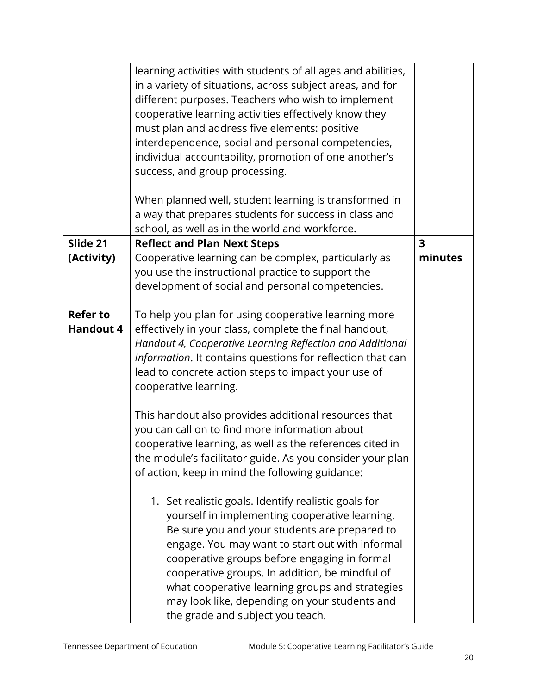|                                     | learning activities with students of all ages and abilities,<br>in a variety of situations, across subject areas, and for<br>different purposes. Teachers who wish to implement<br>cooperative learning activities effectively know they<br>must plan and address five elements: positive<br>interdependence, social and personal competencies,<br>individual accountability, promotion of one another's<br>success, and group processing.<br>When planned well, student learning is transformed in<br>a way that prepares students for success in class and<br>school, as well as in the world and workforce. |                         |
|-------------------------------------|----------------------------------------------------------------------------------------------------------------------------------------------------------------------------------------------------------------------------------------------------------------------------------------------------------------------------------------------------------------------------------------------------------------------------------------------------------------------------------------------------------------------------------------------------------------------------------------------------------------|-------------------------|
| Slide 21                            | <b>Reflect and Plan Next Steps</b>                                                                                                                                                                                                                                                                                                                                                                                                                                                                                                                                                                             | $\overline{\mathbf{3}}$ |
| (Activity)                          | Cooperative learning can be complex, particularly as<br>you use the instructional practice to support the<br>development of social and personal competencies.                                                                                                                                                                                                                                                                                                                                                                                                                                                  | minutes                 |
| <b>Refer to</b><br><b>Handout 4</b> | To help you plan for using cooperative learning more<br>effectively in your class, complete the final handout,<br>Handout 4, Cooperative Learning Reflection and Additional<br>Information. It contains questions for reflection that can<br>lead to concrete action steps to impact your use of<br>cooperative learning.                                                                                                                                                                                                                                                                                      |                         |
|                                     | This handout also provides additional resources that<br>you can call on to find more information about<br>cooperative learning, as well as the references cited in<br>the module's facilitator guide. As you consider your plan<br>of action, keep in mind the following guidance:                                                                                                                                                                                                                                                                                                                             |                         |
|                                     | 1. Set realistic goals. Identify realistic goals for<br>yourself in implementing cooperative learning.<br>Be sure you and your students are prepared to<br>engage. You may want to start out with informal<br>cooperative groups before engaging in formal<br>cooperative groups. In addition, be mindful of<br>what cooperative learning groups and strategies<br>may look like, depending on your students and<br>the grade and subject you teach.                                                                                                                                                           |                         |